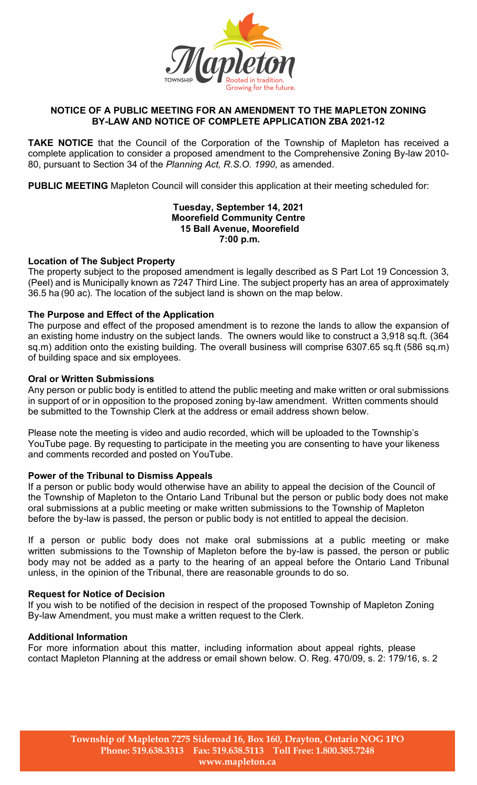

# **NOTICE OF A PUBLIC MEETING FOR AN AMENDMENT TO THE MAPLETON ZONING BY-LAW AND NOTICE OF COMPLETE APPLICATION ZBA 2021-12**

**TAKE NOTICE** that the Council of the Corporation of the Township of Mapleton has received a complete application to consider a proposed amendment to the Comprehensive Zoning By-law 2010- 80, pursuant to Section 34 of the *Planning Act, R.S.O. 1990*, as amended.

**PUBLIC MEETING** Mapleton Council will consider this application at their meeting scheduled for:

## **Tuesday, September 14, 2021 Moorefield Community Centre 15 Ball Avenue, Moorefield 7:00 p.m.**

## **Location of The Subject Property**

The property subject to the proposed amendment is legally described as S Part Lot 19 Concession 3, (Peel) and is Municipally known as 7247 Third Line. The subject property has an area of approximately 36.5 ha (90 ac). The location of the subject land is shown on the map below.

## **The Purpose and Effect of the Application**

The purpose and effect of the proposed amendment is to rezone the lands to allow the expansion of an existing home industry on the subject lands. The owners would like to construct a 3,918 sq.ft. (364 sq.m) addition onto the existing building. The overall business will comprise 6307.65 sq.ft (586 sq.m) of building space and six employees.

## **Oral or Written Submissions**

Any person or public body is entitled to attend the public meeting and make written or oral submissions in support of or in opposition to the proposed zoning by-law amendment. Written comments should be submitted to the Township Clerk at the address or email address shown below.

Please note the meeting is video and audio recorded, which will be uploaded to the Township's YouTube page. By requesting to participate in the meeting you are consenting to have your likeness and comments recorded and posted on YouTube.

# **Power of the Tribunal to Dismiss Appeals**

If a person or public body would otherwise have an ability to appeal the decision of the Council of the Township of Mapleton to the Ontario Land Tribunal but the person or public body does not make oral submissions at a public meeting or make written submissions to the Township of Mapleton before the by-law is passed, the person or public body is not entitled to appeal the decision.

If a person or public body does not make oral submissions at a public meeting or make written submissions to the Township of Mapleton before the by-law is passed, the person or public body may not be added as a party to the hearing of an appeal before the Ontario Land Tribunal unless, in the opinion of the Tribunal, there are reasonable grounds to do so.

#### **Request for Notice of Decision**

If you wish to be notified of the decision in respect of the proposed Township of Mapleton Zoning By-law Amendment, you must make a written request to the Clerk.

#### **Additional Information**

For more information about this matter, including information about appeal rights, please contact Mapleton Planning at the address or email shown below. O. Reg. 470/09, s. 2: 179/16, s. 2